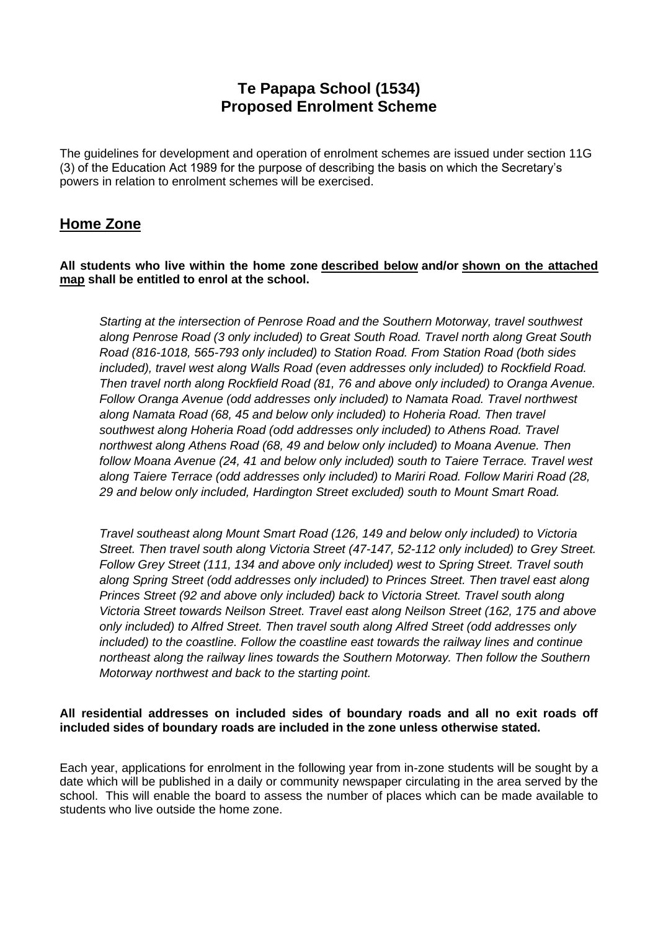# **Te Papapa School (1534) Proposed Enrolment Scheme**

The guidelines for development and operation of enrolment schemes are issued under section 11G (3) of the Education Act 1989 for the purpose of describing the basis on which the Secretary's powers in relation to enrolment schemes will be exercised.

# **Home Zone**

#### **All students who live within the home zone described below and/or shown on the attached map shall be entitled to enrol at the school.**

*Starting at the intersection of Penrose Road and the Southern Motorway, travel southwest along Penrose Road (3 only included) to Great South Road. Travel north along Great South Road (816-1018, 565-793 only included) to Station Road. From Station Road (both sides included), travel west along Walls Road (even addresses only included) to Rockfield Road. Then travel north along Rockfield Road (81, 76 and above only included) to Oranga Avenue. Follow Oranga Avenue (odd addresses only included) to Namata Road. Travel northwest along Namata Road (68, 45 and below only included) to Hoheria Road. Then travel southwest along Hoheria Road (odd addresses only included) to Athens Road. Travel northwest along Athens Road (68, 49 and below only included) to Moana Avenue. Then follow Moana Avenue (24, 41 and below only included) south to Taiere Terrace. Travel west along Taiere Terrace (odd addresses only included) to Mariri Road. Follow Mariri Road (28, 29 and below only included, Hardington Street excluded) south to Mount Smart Road.* 

*Travel southeast along Mount Smart Road (126, 149 and below only included) to Victoria Street. Then travel south along Victoria Street (47-147, 52-112 only included) to Grey Street. Follow Grey Street (111, 134 and above only included) west to Spring Street. Travel south along Spring Street (odd addresses only included) to Princes Street. Then travel east along Princes Street (92 and above only included) back to Victoria Street. Travel south along Victoria Street towards Neilson Street. Travel east along Neilson Street (162, 175 and above only included) to Alfred Street. Then travel south along Alfred Street (odd addresses only included) to the coastline. Follow the coastline east towards the railway lines and continue northeast along the railway lines towards the Southern Motorway. Then follow the Southern Motorway northwest and back to the starting point.*

#### **All residential addresses on included sides of boundary roads and all no exit roads off included sides of boundary roads are included in the zone unless otherwise stated.**

Each year, applications for enrolment in the following year from in-zone students will be sought by a date which will be published in a daily or community newspaper circulating in the area served by the school. This will enable the board to assess the number of places which can be made available to students who live outside the home zone.